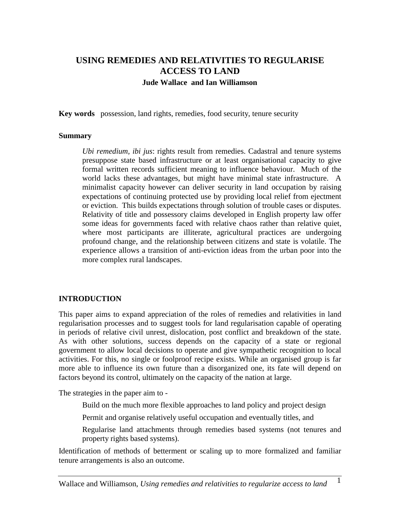# **USING REMEDIES AND RELATIVITIES TO REGULARISE ACCESS TO LAND Jude Wallace and Ian Williamson**

**Key words** possession, land rights, remedies, food security, tenure security

#### **Summary**

*Ubi remedium, ibi jus*: rights result from remedies. Cadastral and tenure systems presuppose state based infrastructure or at least organisational capacity to give formal written records sufficient meaning to influence behaviour. Much of the world lacks these advantages, but might have minimal state infrastructure. A minimalist capacity however can deliver security in land occupation by raising expectations of continuing protected use by providing local relief from ejectment or eviction. This builds expectations through solution of trouble cases or disputes. Relativity of title and possessory claims developed in English property law offer some ideas for governments faced with relative chaos rather than relative quiet, where most participants are illiterate, agricultural practices are undergoing profound change, and the relationship between citizens and state is volatile. The experience allows a transition of anti-eviction ideas from the urban poor into the more complex rural landscapes.

#### **INTRODUCTION**

This paper aims to expand appreciation of the roles of remedies and relativities in land regularisation processes and to suggest tools for land regularisation capable of operating in periods of relative civil unrest, dislocation, post conflict and breakdown of the state. As with other solutions, success depends on the capacity of a state or regional government to allow local decisions to operate and give sympathetic recognition to local activities. For this, no single or foolproof recipe exists. While an organised group is far more able to influence its own future than a disorganized one, its fate will depend on factors beyond its control, ultimately on the capacity of the nation at large.

The strategies in the paper aim to -

Build on the much more flexible approaches to land policy and project design

Permit and organise relatively useful occupation and eventually titles, and

Regularise land attachments through remedies based systems (not tenures and property rights based systems).

Identification of methods of betterment or scaling up to more formalized and familiar tenure arrangements is also an outcome.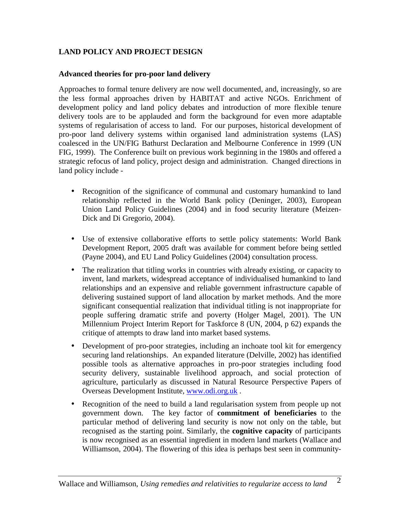## **LAND POLICY AND PROJECT DESIGN**

#### **Advanced theories for pro-poor land delivery**

Approaches to formal tenure delivery are now well documented, and, increasingly, so are the less formal approaches driven by HABITAT and active NGOs. Enrichment of development policy and land policy debates and introduction of more flexible tenure delivery tools are to be applauded and form the background for even more adaptable systems of regularisation of access to land. For our purposes, historical development of pro-poor land delivery systems within organised land administration systems (LAS) coalesced in the UN/FIG Bathurst Declaration and Melbourne Conference in 1999 (UN FIG, 1999). The Conference built on previous work beginning in the 1980s and offered a strategic refocus of land policy, project design and administration. Changed directions in land policy include -

- Recognition of the significance of communal and customary humankind to land relationship reflected in the World Bank policy (Deninger, 2003), European Union Land Policy Guidelines (2004) and in food security literature (Meizen-Dick and Di Gregorio, 2004).
- Use of extensive collaborative efforts to settle policy statements: World Bank Development Report, 2005 draft was available for comment before being settled (Payne 2004), and EU Land Policy Guidelines (2004) consultation process.
- The realization that titling works in countries with already existing, or capacity to invent, land markets, widespread acceptance of individualised humankind to land relationships and an expensive and reliable government infrastructure capable of delivering sustained support of land allocation by market methods. And the more significant consequential realization that individual titling is not inappropriate for people suffering dramatic strife and poverty (Holger Magel, 2001). The UN Millennium Project Interim Report for Taskforce 8 (UN, 2004, p 62) expands the critique of attempts to draw land into market based systems.
- Development of pro-poor strategies, including an inchoate tool kit for emergency securing land relationships. An expanded literature (Delville, 2002) has identified possible tools as alternative approaches in pro-poor strategies including food security delivery, sustainable livelihood approach, and social protection of agriculture, particularly as discussed in Natural Resource Perspective Papers of Overseas Development Institute, [www.odi.org.uk](http://www.odi.org.uk) .
- Recognition of the need to build a land regularisation system from people up not government down. The key factor of **commitment of beneficiaries** to the particular method of delivering land security is now not only on the table, but recognised as the starting point. Similarly, the **cognitive capacity** of participants is now recognised as an essential ingredient in modern land markets (Wallace and Williamson, 2004). The flowering of this idea is perhaps best seen in community-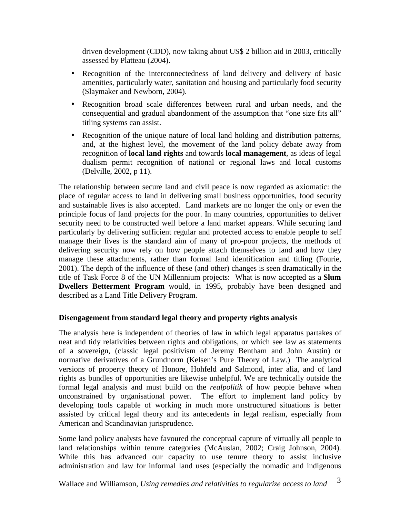driven development (CDD), now taking about US\$ 2 billion aid in 2003, critically assessed by Platteau (2004).

- Recognition of the interconnectedness of land delivery and delivery of basic amenities*,* particularly water, sanitation and housing and particularly food security (Slaymaker and Newborn, 2004)*.*
- Recognition broad scale differences between rural and urban needs, and the consequential and gradual abandonment of the assumption that "one size fits all" titling systems can assist.
- Recognition of the unique nature of local land holding and distribution patterns, and, at the highest level, the movement of the land policy debate away from recognition of **local land rights** and towards **local management**, as ideas of legal dualism permit recognition of national or regional laws and local customs (Delville, 2002, p 11).

The relationship between secure land and civil peace is now regarded as axiomatic: the place of regular access to land in delivering small business opportunities, food security and sustainable lives is also accepted. Land markets are no longer the only or even the principle focus of land projects for the poor. In many countries, opportunities to deliver security need to be constructed well before a land market appears. While securing land particularly by delivering sufficient regular and protected access to enable people to self manage their lives is the standard aim of many of pro-poor projects, the methods of delivering security now rely on how people attach themselves to land and how they manage these attachments, rather than formal land identification and titling (Fourie, 2001). The depth of the influence of these (and other) changes is seen dramatically in the title of Task Force 8 of the UN Millennium projects: What is now accepted as a **Slum Dwellers Betterment Program** would, in 1995, probably have been designed and described as a Land Title Delivery Program.

## **Disengagement from standard legal theory and property rights analysis**

The analysis here is independent of theories of law in which legal apparatus partakes of neat and tidy relativities between rights and obligations, or which see law as statements of a sovereign, (classic legal positivism of Jeremy Bentham and John Austin) or normative derivatives of a Grundnorm (Kelsen's Pure Theory of Law.) The analytical versions of property theory of Honore, Hohfeld and Salmond, inter alia, and of land rights as bundles of opportunities are likewise unhelpful. We are technically outside the formal legal analysis and must build on the *realpolitik* of how people behave when unconstrained by organisational power. The effort to implement land policy by developing tools capable of working in much more unstructured situations is better assisted by critical legal theory and its antecedents in legal realism, especially from American and Scandinavian jurisprudence.

Some land policy analysts have favoured the conceptual capture of virtually all people to land relationships within tenure categories (McAuslan, 2002; Craig Johnson, 2004). While this has advanced our capacity to use tenure theory to assist inclusive administration and law for informal land uses (especially the nomadic and indigenous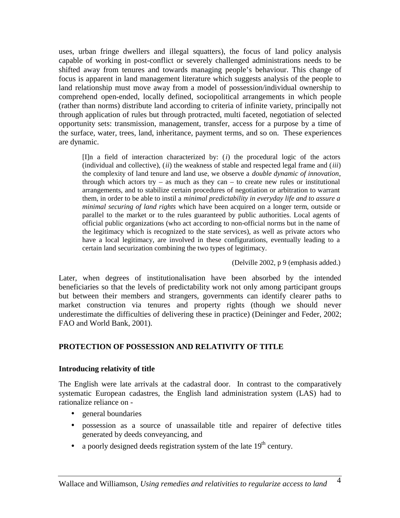uses, urban fringe dwellers and illegal squatters), the focus of land policy analysis capable of working in post-conflict or severely challenged administrations needs to be shifted away from tenures and towards managing people's behaviour. This change of focus is apparent in land management literature which suggests analysis of the people to land relationship must move away from a model of possession/individual ownership to comprehend open-ended, locally defined, sociopolitical arrangements in which people (rather than norms) distribute land according to criteria of infinite variety, principally not through application of rules but through protracted, multi faceted, negotiation of selected opportunity sets: transmission, management, transfer, access for a purpose by a time of the surface, water, trees, land, inheritance, payment terms, and so on. These experiences are dynamic.

[I]n a field of interaction characterized by: (*i*) the procedural logic of the actors (individual and collective), (*ii*) the weakness of stable and respected legal frame and (*iii*) the complexity of land tenure and land use, we observe a *double dynamic of innovation*, through which actors try – as much as they can – to create new rules or institutional arrangements, and to stabilize certain procedures of negotiation or arbitration to warrant them, in order to be able to instil a *minimal predictability in everyday life and to assure a minimal securing of land rights* which have been acquired on a longer term, outside or parallel to the market or to the rules guaranteed by public authorities. Local agents of official public organizations (who act according to non-official norms but in the name of the legitimacy which is recognized to the state services), as well as private actors who have a local legitimacy, are involved in these configurations, eventually leading to a certain land securization combining the two types of legitimacy.

(Delville 2002, p 9 (emphasis added.)

Later, when degrees of institutionalisation have been absorbed by the intended beneficiaries so that the levels of predictability work not only among participant groups but between their members and strangers, governments can identify clearer paths to market construction via tenures and property rights (though we should never underestimate the difficulties of delivering these in practice) (Deininger and Feder, 2002; FAO and World Bank, 2001).

## **PROTECTION OF POSSESSION AND RELATIVITY OF TITLE**

## **Introducing relativity of title**

The English were late arrivals at the cadastral door. In contrast to the comparatively systematic European cadastres, the English land administration system (LAS) had to rationalize reliance on -

- general boundaries
- possession as a source of unassailable title and repairer of defective titles generated by deeds conveyancing, and
- a poorly designed deeds registration system of the late  $19<sup>th</sup>$  century.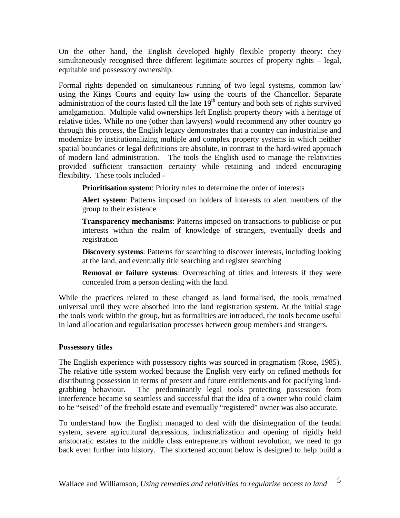On the other hand, the English developed highly flexible property theory: they simultaneously recognised three different legitimate sources of property rights – legal, equitable and possessory ownership.

Formal rights depended on simultaneous running of two legal systems, common law using the Kings Courts and equity law using the courts of the Chancellor. Separate administration of the courts lasted till the late  $19<sup>th</sup>$  century and both sets of rights survived amalgamation. Multiple valid ownerships left English property theory with a heritage of relative titles. While no one (other than lawyers) would recommend any other country go through this process, the English legacy demonstrates that a country can industrialise and modernize by institutionalizing multiple and complex property systems in which neither spatial boundaries or legal definitions are absolute, in contrast to the hard-wired approach of modern land administration. The tools the English used to manage the relativities provided sufficient transaction certainty while retaining and indeed encouraging flexibility. These tools included -

**Prioritisation system**: Priority rules to determine the order of interests

**Alert system**: Patterns imposed on holders of interests to alert members of the group to their existence

**Transparency mechanisms**: Patterns imposed on transactions to publicise or put interests within the realm of knowledge of strangers, eventually deeds and registration

**Discovery systems**: Patterns for searching to discover interests, including looking at the land, and eventually title searching and register searching

**Removal or failure systems**: Overreaching of titles and interests if they were concealed from a person dealing with the land.

While the practices related to these changed as land formalised, the tools remained universal until they were absorbed into the land registration system. At the initial stage the tools work within the group, but as formalities are introduced, the tools become useful in land allocation and regularisation processes between group members and strangers.

## **Possessory titles**

The English experience with possessory rights was sourced in pragmatism (Rose, 1985). The relative title system worked because the English very early on refined methods for distributing possession in terms of present and future entitlements and for pacifying landgrabbing behaviour. The predominantly legal tools protecting possession from interference became so seamless and successful that the idea of a owner who could claim to be "seised" of the freehold estate and eventually "registered" owner was also accurate.

To understand how the English managed to deal with the disintegration of the feudal system, severe agricultural depressions, industrialization and opening of rigidly held aristocratic estates to the middle class entrepreneurs without revolution, we need to go back even further into history. The shortened account below is designed to help build a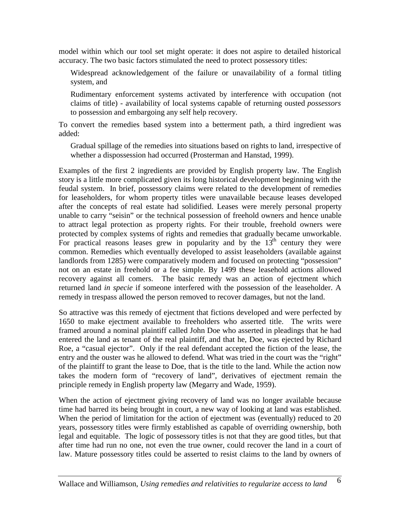model within which our tool set might operate: it does not aspire to detailed historical accuracy. The two basic factors stimulated the need to protect possessory titles:

Widespread acknowledgement of the failure or unavailability of a formal titling system, and

Rudimentary enforcement systems activated by interference with occupation (not claims of title) - availability of local systems capable of returning ousted *possessors* to possession and embargoing any self help recovery.

To convert the remedies based system into a betterment path, a third ingredient was added:

Gradual spillage of the remedies into situations based on rights to land, irrespective of whether a dispossession had occurred (Prosterman and Hanstad, 1999).

Examples of the first 2 ingredients are provided by English property law. The English story is a little more complicated given its long historical development beginning with the feudal system. In brief, possessory claims were related to the development of remedies for leaseholders, for whom property titles were unavailable because leases developed after the concepts of real estate had solidified. Leases were merely personal property unable to carry "seisin" or the technical possession of freehold owners and hence unable to attract legal protection as property rights. For their trouble, freehold owners were protected by complex systems of rights and remedies that gradually became unworkable. For practical reasons leases grew in popularity and by the  $13<sup>th</sup>$  century they were common. Remedies which eventually developed to assist leaseholders (available against landlords from 1285) were comparatively modern and focused on protecting "possession" not on an estate in freehold or a fee simple. By 1499 these leasehold actions allowed recovery against all comers. The basic remedy was an action of ejectment which returned land *in specie* if someone interfered with the possession of the leaseholder. A remedy in trespass allowed the person removed to recover damages, but not the land.

So attractive was this remedy of ejectment that fictions developed and were perfected by 1650 to make ejectment available to freeholders who asserted title. The writs were framed around a nominal plaintiff called John Doe who asserted in pleadings that he had entered the land as tenant of the real plaintiff, and that he, Doe, was ejected by Richard Roe, a "casual ejector". Only if the real defendant accepted the fiction of the lease, the entry and the ouster was he allowed to defend. What was tried in the court was the "right" of the plaintiff to grant the lease to Doe, that is the title to the land. While the action now takes the modern form of "recovery of land", derivatives of ejectment remain the principle remedy in English property law (Megarry and Wade, 1959).

When the action of ejectment giving recovery of land was no longer available because time had barred its being brought in court, a new way of looking at land was established. When the period of limitation for the action of ejectment was (eventually) reduced to 20 years, possessory titles were firmly established as capable of overriding ownership, both legal and equitable. The logic of possessory titles is not that they are good titles, but that after time had run no one, not even the true owner, could recover the land in a court of law. Mature possessory titles could be asserted to resist claims to the land by owners of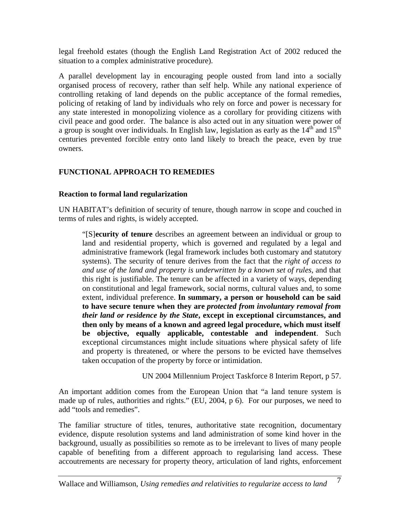legal freehold estates (though the English Land Registration Act of 2002 reduced the situation to a complex administrative procedure).

A parallel development lay in encouraging people ousted from land into a socially organised process of recovery, rather than self help. While any national experience of controlling retaking of land depends on the public acceptance of the formal remedies, policing of retaking of land by individuals who rely on force and power is necessary for any state interested in monopolizing violence as a corollary for providing citizens with civil peace and good order. The balance is also acted out in any situation were power of a group is sought over individuals. In English law, legislation as early as the  $14<sup>th</sup>$  and  $15<sup>th</sup>$ centuries prevented forcible entry onto land likely to breach the peace, even by true owners.

## **FUNCTIONAL APPROACH TO REMEDIES**

#### **Reaction to formal land regularization**

UN HABITAT's definition of security of tenure, though narrow in scope and couched in terms of rules and rights, is widely accepted.

"[S]**ecurity of tenure** describes an agreement between an individual or group to land and residential property, which is governed and regulated by a legal and administrative framework (legal framework includes both customary and statutory systems). The security of tenure derives from the fact that the *right of access to and use of the land and property is underwritten by a known set of rules*, and that this right is justifiable. The tenure can be affected in a variety of ways, depending on constitutional and legal framework, social norms, cultural values and, to some extent, individual preference. **In summary, a person or household can be said to have secure tenure when they are** *protected from involuntary removal from their land or residence by the State***, except in exceptional circumstances, and then only by means of a known and agreed legal procedure, which must itself be objective, equally applicable, contestable and independent**. Such exceptional circumstances might include situations where physical safety of life and property is threatened, or where the persons to be evicted have themselves taken occupation of the property by force or intimidation.

UN 2004 Millennium Project Taskforce 8 Interim Report, p 57.

An important addition comes from the European Union that "a land tenure system is made up of rules, authorities and rights." (EU, 2004, p 6). For our purposes, we need to add "tools and remedies".

The familiar structure of titles, tenures, authoritative state recognition, documentary evidence, dispute resolution systems and land administration of some kind hover in the background, usually as possibilities so remote as to be irrelevant to lives of many people capable of benefiting from a different approach to regularising land access. These accoutrements are necessary for property theory, articulation of land rights, enforcement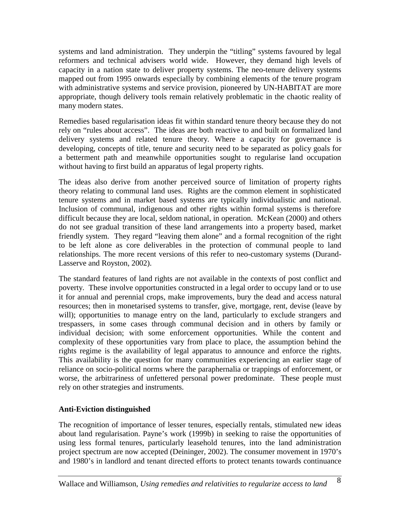systems and land administration. They underpin the "titling" systems favoured by legal reformers and technical advisers world wide. However, they demand high levels of capacity in a nation state to deliver property systems. The neo-tenure delivery systems mapped out from 1995 onwards especially by combining elements of the tenure program with administrative systems and service provision, pioneered by UN-HABITAT are more appropriate, though delivery tools remain relatively problematic in the chaotic reality of many modern states.

Remedies based regularisation ideas fit within standard tenure theory because they do not rely on "rules about access". The ideas are both reactive to and built on formalized land delivery systems and related tenure theory. Where a capacity for governance is developing, concepts of title, tenure and security need to be separated as policy goals for a betterment path and meanwhile opportunities sought to regularise land occupation without having to first build an apparatus of legal property rights.

The ideas also derive from another perceived source of limitation of property rights theory relating to communal land uses. Rights are the common element in sophisticated tenure systems and in market based systems are typically individualistic and national. Inclusion of communal, indigenous and other rights within formal systems is therefore difficult because they are local, seldom national, in operation. McKean (2000) and others do not see gradual transition of these land arrangements into a property based, market friendly system. They regard "leaving them alone" and a formal recognition of the right to be left alone as core deliverables in the protection of communal people to land relationships. The more recent versions of this refer to neo-customary systems (Durand-Lasserve and Royston, 2002).

The standard features of land rights are not available in the contexts of post conflict and poverty. These involve opportunities constructed in a legal order to occupy land or to use it for annual and perennial crops, make improvements, bury the dead and access natural resources; then in monetarised systems to transfer, give, mortgage, rent, devise (leave by will); opportunities to manage entry on the land, particularly to exclude strangers and trespassers, in some cases through communal decision and in others by family or individual decision; with some enforcement opportunities. While the content and complexity of these opportunities vary from place to place, the assumption behind the rights regime is the availability of legal apparatus to announce and enforce the rights. This availability is the question for many communities experiencing an earlier stage of reliance on socio-political norms where the paraphernalia or trappings of enforcement, or worse, the arbitrariness of unfettered personal power predominate. These people must rely on other strategies and instruments.

# **Anti-Eviction distinguished**

The recognition of importance of lesser tenures, especially rentals, stimulated new ideas about land regularisation. Payne's work (1999b) in seeking to raise the opportunities of using less formal tenures, particularly leasehold tenures, into the land administration project spectrum are now accepted (Deininger, 2002). The consumer movement in 1970's and 1980's in landlord and tenant directed efforts to protect tenants towards continuance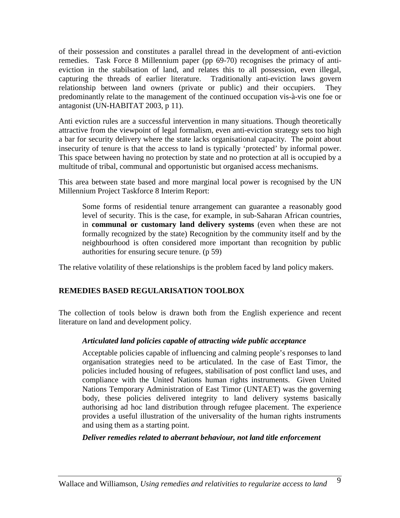of their possession and constitutes a parallel thread in the development of anti-eviction remedies. Task Force 8 Millennium paper (pp 69-70) recognises the primacy of antieviction in the stabilsation of land, and relates this to all possession, even illegal, capturing the threads of earlier literature. Traditionally anti-eviction laws govern relationship between land owners (private or public) and their occupiers. They predominantly relate to the management of the continued occupation vis-à-vis one foe or antagonist (UN-HABITAT 2003, p 11).

Anti eviction rules are a successful intervention in many situations. Though theoretically attractive from the viewpoint of legal formalism, even anti-eviction strategy sets too high a bar for security delivery where the state lacks organisational capacity. The point about insecurity of tenure is that the access to land is typically 'protected' by informal power. This space between having no protection by state and no protection at all is occupied by a multitude of tribal, communal and opportunistic but organised access mechanisms.

This area between state based and more marginal local power is recognised by the UN Millennium Project Taskforce 8 Interim Report:

Some forms of residential tenure arrangement can guarantee a reasonably good level of security. This is the case, for example, in sub-Saharan African countries, in **communal or customary land delivery systems** (even when these are not formally recognized by the state) Recognition by the community itself and by the neighbourhood is often considered more important than recognition by public authorities for ensuring secure tenure. (p 59)

The relative volatility of these relationships is the problem faced by land policy makers.

## **REMEDIES BASED REGULARISATION TOOLBOX**

The collection of tools below is drawn both from the English experience and recent literature on land and development policy.

## *Articulated land policies capable of attracting wide public acceptance*

Acceptable policies capable of influencing and calming people's responses to land organisation strategies need to be articulated. In the case of East Timor, the policies included housing of refugees, stabilisation of post conflict land uses, and compliance with the United Nations human rights instruments. Given United Nations Temporary Administration of East Timor (UNTAET) was the governing body, these policies delivered integrity to land delivery systems basically authorising ad hoc land distribution through refugee placement. The experience provides a useful illustration of the universality of the human rights instruments and using them as a starting point.

#### *Deliver remedies related to aberrant behaviour, not land title enforcement*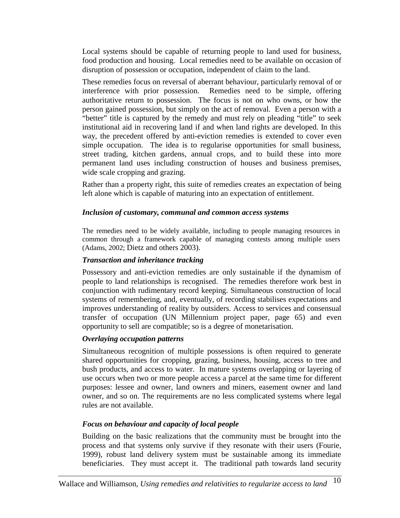Local systems should be capable of returning people to land used for business, food production and housing. Local remedies need to be available on occasion of disruption of possession or occupation, independent of claim to the land.

These remedies focus on reversal of aberrant behaviour, particularly removal of or interference with prior possession. Remedies need to be simple, offering authoritative return to possession. The focus is not on who owns, or how the person gained possession, but simply on the act of removal. Even a person with a "better" title is captured by the remedy and must rely on pleading "title" to seek institutional aid in recovering land if and when land rights are developed. In this way, the precedent offered by anti-eviction remedies is extended to cover even simple occupation. The idea is to regularise opportunities for small business, street trading, kitchen gardens, annual crops, and to build these into more permanent land uses including construction of houses and business premises, wide scale cropping and grazing.

Rather than a property right, this suite of remedies creates an expectation of being left alone which is capable of maturing into an expectation of entitlement.

#### *Inclusion of customary, communal and common access systems*

The remedies need to be widely available, including to people managing resources in common through a framework capable of managing contests among multiple users (Adams, 2002; Dietz and others 2003).

#### *Transaction and inheritance tracking*

Possessory and anti-eviction remedies are only sustainable if the dynamism of people to land relationships is recognised. The remedies therefore work best in conjunction with rudimentary record keeping. Simultaneous construction of local systems of remembering, and, eventually, of recording stabilises expectations and improves understanding of reality by outsiders. Access to services and consensual transfer of occupation (UN Millennium project paper, page 65) and even opportunity to sell are compatible; so is a degree of monetarisation.

## *Overlaying occupation patterns*

Simultaneous recognition of multiple possessions is often required to generate shared opportunities for cropping, grazing, business, housing, access to tree and bush products, and access to water. In mature systems overlapping or layering of use occurs when two or more people access a parcel at the same time for different purposes: lessee and owner, land owners and miners, easement owner and land owner, and so on. The requirements are no less complicated systems where legal rules are not available.

## *Focus on behaviour and capacity of local people*

Building on the basic realizations that the community must be brought into the process and that systems only survive if they resonate with their users (Fourie, 1999), robust land delivery system must be sustainable among its immediate beneficiaries. They must accept it. The traditional path towards land security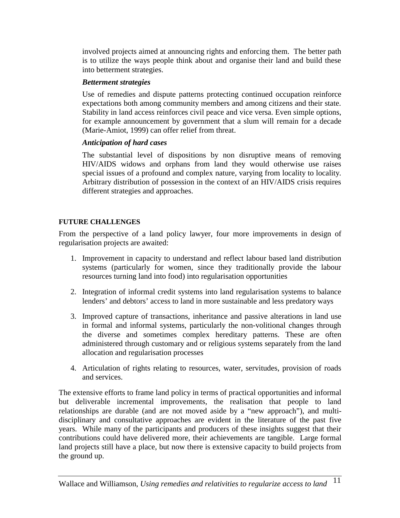involved projects aimed at announcing rights and enforcing them. The better path is to utilize the ways people think about and organise their land and build these into betterment strategies.

#### *Betterment strategies*

Use of remedies and dispute patterns protecting continued occupation reinforce expectations both among community members and among citizens and their state. Stability in land access reinforces civil peace and vice versa. Even simple options, for example announcement by government that a slum will remain for a decade (Marie-Amiot, 1999) can offer relief from threat.

## *Anticipation of hard cases*

The substantial level of dispositions by non disruptive means of removing HIV/AIDS widows and orphans from land they would otherwise use raises special issues of a profound and complex nature, varying from locality to locality. Arbitrary distribution of possession in the context of an HIV/AIDS crisis requires different strategies and approaches.

# **FUTURE CHALLENGES**

From the perspective of a land policy lawyer, four more improvements in design of regularisation projects are awaited:

- 1. Improvement in capacity to understand and reflect labour based land distribution systems (particularly for women, since they traditionally provide the labour resources turning land into food) into regularisation opportunities
- 2. Integration of informal credit systems into land regularisation systems to balance lenders' and debtors' access to land in more sustainable and less predatory ways
- 3. Improved capture of transactions, inheritance and passive alterations in land use in formal and informal systems, particularly the non-volitional changes through the diverse and sometimes complex hereditary patterns. These are often administered through customary and or religious systems separately from the land allocation and regularisation processes
- 4. Articulation of rights relating to resources, water, servitudes, provision of roads and services.

The extensive efforts to frame land policy in terms of practical opportunities and informal but deliverable incremental improvements, the realisation that people to land relationships are durable (and are not moved aside by a "new approach"), and multidisciplinary and consultative approaches are evident in the literature of the past five years. While many of the participants and producers of these insights suggest that their contributions could have delivered more, their achievements are tangible. Large formal land projects still have a place, but now there is extensive capacity to build projects from the ground up.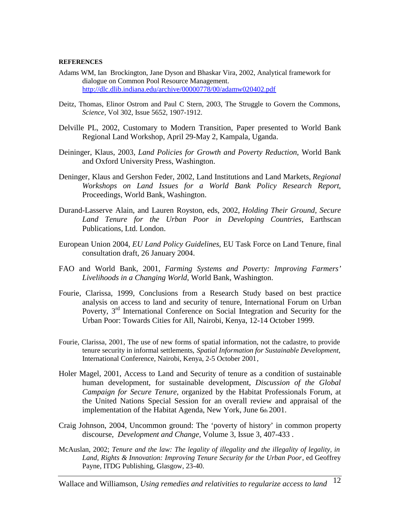#### **REFERENCES**

- Adams WM, Ian Brockington, Jane Dyson and Bhaskar Vira, 2002, Analytical framework for dialogue on Common Pool Resource Management. <http://dlc.dlib.indiana.edu/archive/00000778/00/adamw020402.pdf>
- Deitz, Thomas, Elinor Ostrom and Paul C Stern, 2003, The Struggle to Govern the Commons, *Science*, Vol 302, Issue 5652, 1907-1912.
- Delville PL, 2002, Customary to Modern Transition, Paper presented to World Bank Regional Land Workshop, April 29-May 2, Kampala, Uganda.
- Deininger, Klaus, 2003, *Land Policies for Growth and Poverty Reduction*, World Bank and Oxford University Press, Washington.
- Deninger, Klaus and Gershon Feder, 2002, Land Institutions and Land Markets, *Regional Workshops on Land Issues for a World Bank Policy Research Report*, Proceedings, World Bank, Washington.
- Durand-Lasserve Alain, and Lauren Royston, eds, 2002, *Holding Their Ground, Secure Land Tenure for the Urban Poor in Developing Countries*, Earthscan Publications, Ltd. London.
- European Union 2004, *EU Land Policy Guidelines*, EU Task Force on Land Tenure, final consultation draft, 26 January 2004.
- FAO and World Bank, 2001, *Farming Systems and Poverty: Improving Farmers' Livelihoods in a Changing World*, World Bank, Washington.
- Fourie, Clarissa, 1999, Conclusions from a Research Study based on best practice analysis on access to land and security of tenure, International Forum on Urban Poverty, 3<sup>rd</sup> International Conference on Social Integration and Security for the Urban Poor: Towards Cities for All, Nairobi, Kenya, 12-14 October 1999.
- Fourie, Clarissa, 2001*,* The use of new forms of spatial information, not the cadastre, to provide tenure security in informal settlements, *Spatial Information for Sustainable Development,*  International Conference, Nairobi, Kenya, 2-5 October 2001*,*
- Holer Magel, 2001, Access to Land and Security of tenure as a condition of sustainable human development, for sustainable development, *Discussion of the Global Campaign for Secure Tenure*, organized by the Habitat Professionals Forum, at the United Nations Special Session for an overall review and appraisal of the implementation of the Habitat Agenda, New York, June 6th 2001.
- Craig Johnson, 2004, Uncommon ground: The 'poverty of history' in common property discourse, *Development and Change,* Volume 3, Issue 3, 407-433 .
- McAuslan, 2002; *Tenure and the law: The legality of illegality and the illegality of legality, in Land, Rights & Innovation: Improving Tenure Security for the Urban Poor*, ed Geoffrey Payne, ITDG Publishing, Glasgow, 23-40.

Wallace and Williamson, *Using remedies and relativities to regularize access to land* <sup>12</sup>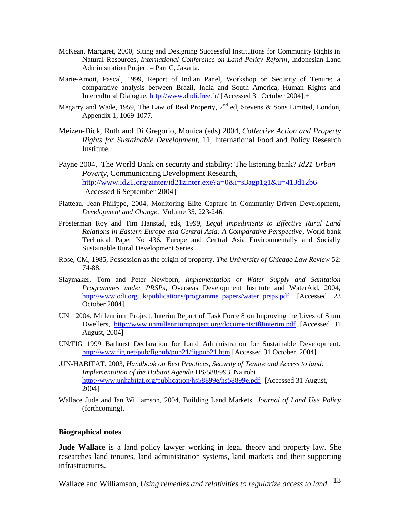- McKean, Margaret, 2000, Siting and Designing Successful Institutions for Community Rights in Natural Resources, *International Conference on Land Policy Reform*, Indonesian Land Administration Project – Part C, Jakarta.
- Marie-Amoit, Pascal, 1999, Report of Indian Panel, Workshop on Security of Tenure: a comparative analysis between Brazil, India and South America, Human Rights and Intercultural Dialogue,<http://www.dhdi.free.fr/>[Accessed 31 October 2004].+
- Megarry and Wade, 1959, The Law of Real Property,  $2^{nd}$  ed, Stevens & Sons Limited, London, Appendix 1, 1069-1077.
- Meizen-Dick, Ruth and Di Gregorio, Monica (eds) 2004, *Collective Action and Property Rights for Sustainable Development*, 11, International Food and Policy Research Institute.
- Payne 2004, The World Bank on security and stability: The listening bank? *Id21 Urban Poverty,* Communicating Development Research, <http://www.id21.org/zinter/id21zinter.exe?a=0&i=s3agp1g1&u=413d12b6> [Accessed 6 September 2004]
- Platteau, Jean-Philippe, 2004, Monitoring Elite Capture in Community-Driven Development, *Development and Change*, Volume 35, 223-246.
- Prosterman Roy and Tim Hanstad, eds, 1999, *Legal Impediments to Effective Rural Land Relations in Eastern Europe and Central Asia: A Comparative Perspective*, World bank Technical Paper No 436, Europe and Central Asia Environmentally and Socially Sustainable Rural Development Series.
- Rose, CM, 1985, Possession as the origin of property, *The University of Chicago Law Review* 52: 74-88.
- Slaymaker, Tom and Peter Newborn, *Implementation of Water Supply and Sanitation Programmes under PRSPs,* Overseas Development Institute and WaterAid, 2004, [http://www.odi.org.uk/publications/programme\\_papers/water\\_prsps.pdf](http://www.odi.org.uk/publications/programme_papers/water_prsps.pdf) [Accessed 23 October 2004].
- UN 2004, Millennium Project, Interim Report of Task Force 8 on Improving the Lives of Slum Dwellers, <http://www.unmillenniumproject.org/documents/tf8interim.pdf> [Accessed 31 August, 2004]
- UN/FIG 1999 Bathurst Declaration for Land Administration for Sustainable Development. <http://www.fig.net/pub/figpub/pub21/figpub21.htm>[Accessed 31 October, 2004]
- .UN-HABITAT, 2003, *Handbook on Best Practices, Security of Tenure and Access to land: Implementation of the Habitat Agenda* HS/588/993, Nairobi, <http://www.unhabitat.org/publication/hs58899e/hs58899e.pdf> [Accessed 31 August, 2004]
- Wallace Jude and Ian Williamson, 2004, Building Land Markets, *Journal of Land Use Policy* (forthcoming).

#### **Biographical notes**

**Jude Wallace** is a land policy lawyer working in legal theory and property law. She researches land tenures, land administration systems, land markets and their supporting infrastructures.